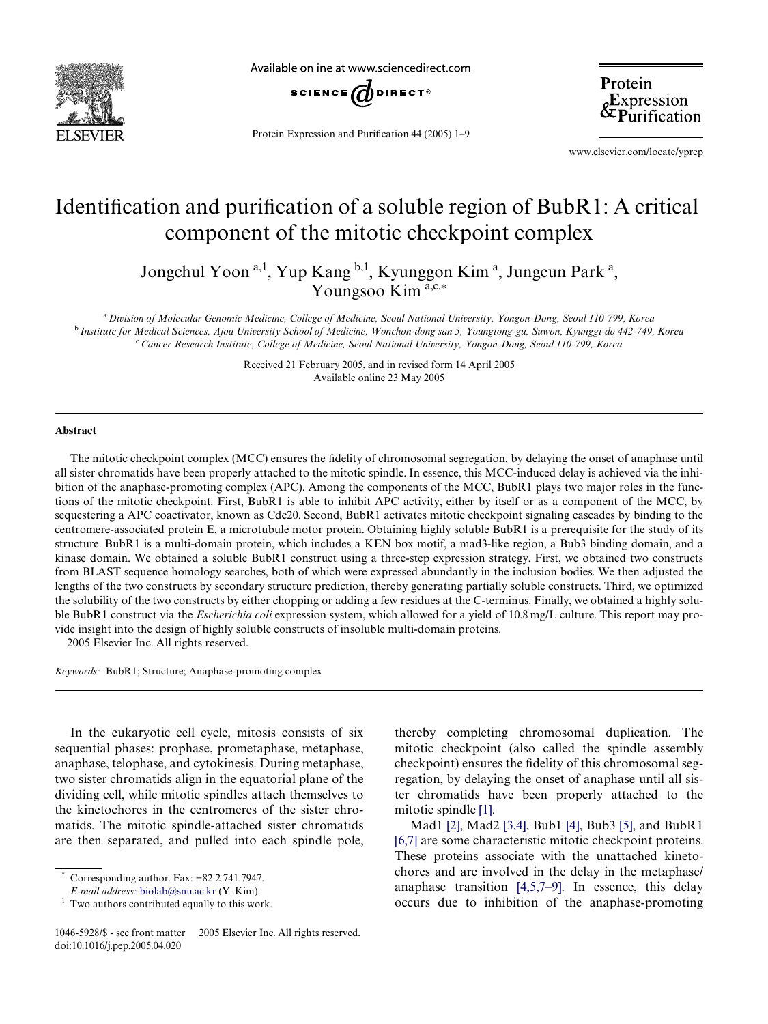

Available online at www.sciencedirect.com



Protein Expression and Purification  $44$  (2005) 1–9

Protein &Expression<br>&Purification

www.elsevier.com/locate/yprep

# Identification and purification of a soluble region of BubR1: A critical component of the mitotic checkpoint complex

Jongchul Yoon<sup>a, 1</sup>, Yup Kang <sup>b, 1</sup>, Kyunggon Kim<sup>a</sup>, Jungeun Park<sup>a</sup>, Youngsoo Kim<sup>a,c,\*</sup>

<sup>a</sup>*Division of Molecular Genomic Medicine, College of Medicine, Seoul National University, Yongon-Dong, Seoul 110-799, Korea* <sup>b</sup>*Institute for Medical Sciences, Ajou University School of Medicine, Wonchon-dong san 5, Youngtong-gu, Suwon, Kyunggi-do 442-749, Korea* <sup>c</sup>*Cancer Research Institute, College of Medicine, Seoul National University, Yongon-Dong, Seoul 110-799, Korea*

> Received 21 February 2005, and in revised form 14 April 2005 Available online 23 May 2005

## **Abstract**

The mitotic checkpoint complex (MCC) ensures the fidelity of chromosomal segregation, by delaying the onset of anaphase until all sister chromatids have been properly attached to the mitotic spindle. In essence, this MCC-induced delay is achieved via the inhibition of the anaphase-promoting complex (APC). Among the components of the MCC, BubR1 plays two major roles in the functions of the mitotic checkpoint. First, BubR1 is able to inhibit APC activity, either by itself or as a component of the MCC, by sequestering a APC coactivator, known as Cdc20. Second, BubR1 activates mitotic checkpoint signaling cascades by binding to the centromere-associated protein E, a microtubule motor protein. Obtaining highly soluble BubR1 is a prerequisite for the study of its structure. BubR1 is a multi-domain protein, which includes a KEN box motif, a mad3-like region, a Bub3 binding domain, and a kinase domain. We obtained a soluble BubR1 construct using a three-step expression strategy. First, we obtained two constructs from BLAST sequence homology searches, both of which were expressed abundantly in the inclusion bodies. We then adjusted the lengths of the two constructs by secondary structure prediction, thereby generating partially soluble constructs. Third, we optimized the solubility of the two constructs by either chopping or adding a few residues at the C-terminus. Finally, we obtained a highly soluble BubR1 construct via the *Escherichia coli* expression system, which allowed for a yield of 10.8 mg/L culture. This report may provide insight into the design of highly soluble constructs of insoluble multi-domain proteins. 2005 Elsevier Inc. All rights reserved.

*Keywords:* BubR1; Structure; Anaphase-promoting complex

In the eukaryotic cell cycle, mitosis consists of six sequential phases: prophase, prometaphase, metaphase, anaphase, telophase, and cytokinesis. During metaphase, two sister chromatids align in the equatorial plane of the dividing cell, while mitotic spindles attach themselves to the kinetochores in the centromeres of the sister chromatids. The mitotic spindle-attached sister chromatids are then separated, and pulled into each spindle pole,

thereby completing chromosomal duplication. The mitotic checkpoint (also called the spindle assembly checkpoint) ensures the fidelity of this chromosomal segregation, by delaying the onset of anaphase until all sister chromatids have been properly attached to the mitotic spindle [\[1\].](#page-8-0)

Mad1 [\[2\],](#page-8-1) Mad2 [\[3,4\],](#page-8-2) Bub1 [\[4\]](#page-8-3), Bub3 [\[5\],](#page-8-4) and BubR1 [\[6,7\]](#page-8-5) are some characteristic mitotic checkpoint proteins. These proteins associate with the unattached kinetochores and are involved in the delay in the metaphase/ anaphase transition [\[4,5,7–9\].](#page-8-3) In essence, this delay occurs due to inhibition of the anaphase-promoting

Corresponding author. Fax:  $+82$  2 741 7947.

*E-mail address:* [biolab@snu.ac.kr](mailto: biolab@snu.ac.kr) (Y. Kim).

 $<sup>1</sup>$  Two authors contributed equally to this work.</sup>

<sup>1046-5928/\$ -</sup> see front matter © 2005 Elsevier Inc. All rights reserved. doi:10.1016/j.pep.2005.04.020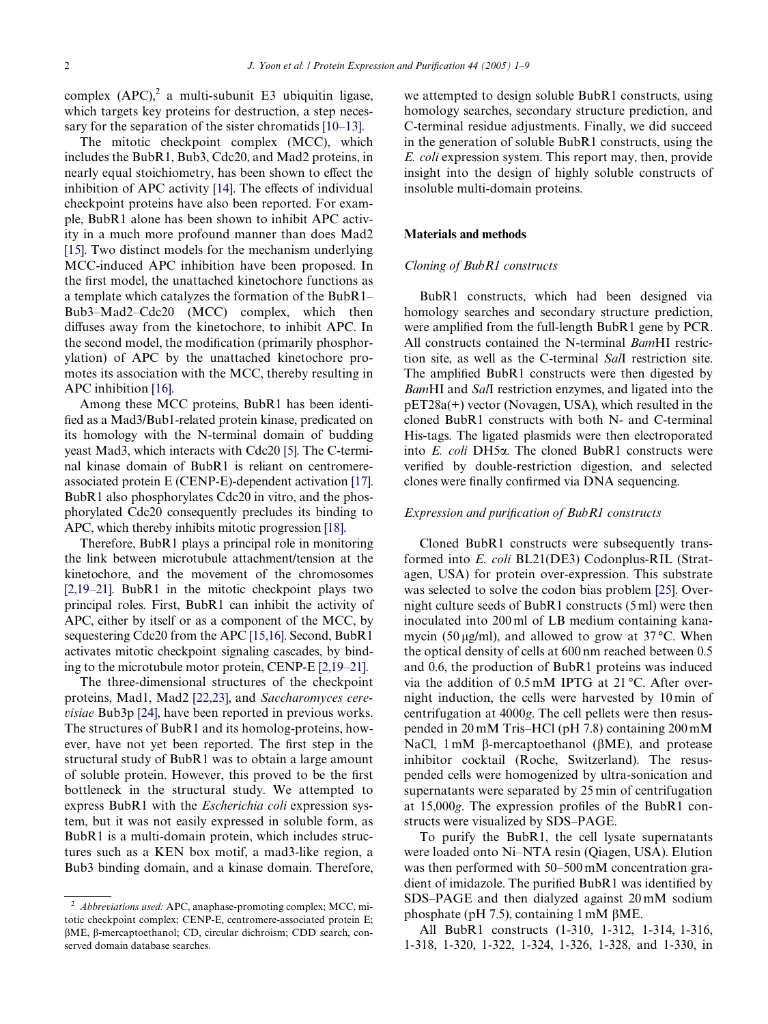complex  $(APC)^2$  a multi-subunit E3 ubiquitin ligase, which targets key proteins for destruction, a step necessary for the separation of the sister chromatids [\[10–13\]](#page-8-6).

The mitotic checkpoint complex (MCC), which includes the BubR1, Bub3, Cdc20, and Mad2 proteins, in nearly equal stoichiometry, has been shown to effect the inhibition of APC activity [\[14\].](#page-8-7) The effects of individual checkpoint proteins have also been reported. For example, BubR1 alone has been shown to inhibit APC activity in a much more profound manner than does Mad2 [\[15\]](#page-8-8). Two distinct models for the mechanism underlying MCC-induced APC inhibition have been proposed. In the first model, the unattached kinetochore functions as a template which catalyzes the formation of the BubR1– Bub3–Mad2–Cdc20 (MCC) complex, which then diffuses away from the kinetochore, to inhibit APC. In the second model, the modification (primarily phosphorylation) of APC by the unattached kinetochore promotes its association with the MCC, thereby resulting in APC inhibition [\[16\].](#page-8-9)

Among these MCC proteins, BubR1 has been identified as a Mad3/Bub1-related protein kinase, predicated on its homology with the N-terminal domain of budding yeast Mad3, which interacts with Cdc20 [\[5\]](#page-8-4). The C-terminal kinase domain of BubR1 is reliant on centromereassociated protein E (CENP-E)-dependent activation [\[17\]](#page-8-10). BubR1 also phosphorylates Cdc20 in vitro, and the phosphorylated Cdc20 consequently precludes its binding to APC, which thereby inhibits mitotic progression [\[18\]](#page-8-11).

Therefore, BubR1 plays a principal role in monitoring the link between microtubule attachment/tension at the kinetochore, and the movement of the chromosomes  $[2,19-21]$ . BubR1 in the mitotic checkpoint plays two principal roles. First, BubR1 can inhibit the activity of APC, either by itself or as a component of the MCC, by sequestering Cdc20 from the APC [\[15,16\]](#page-8-8). Second, BubR1 activates mitotic checkpoint signaling cascades, by binding to the microtubule motor protein, CENP-E [\[2,19–21\].](#page-8-1)

The three-dimensional structures of the checkpoint proteins, Mad1, Mad2 [\[22,23\]](#page-8-12), and *Saccharomyces cerevisiae* Bub3p [\[24\]](#page-8-13), have been reported in previous works. The structures of BubR1 and its homolog-proteins, however, have not yet been reported. The first step in the structural study of BubR1 was to obtain a large amount of soluble protein. However, this proved to be the first bottleneck in the structural study. We attempted to express BubR1 with the *Escherichia coli* expression system, but it was not easily expressed in soluble form, as BubR1 is a multi-domain protein, which includes structures such as a KEN box motif, a mad3-like region, a Bub3 binding domain, and a kinase domain. Therefore, we attempted to design soluble BubR1 constructs, using homology searches, secondary structure prediction, and C-terminal residue adjustments. Finally, we did succeed in the generation of soluble BubR1 constructs, using the *E. coli* expression system. This report may, then, provide insight into the design of highly soluble constructs of insoluble multi-domain proteins.

#### **Materials and methods**

#### *Cloning of BubR1 constructs*

BubR1 constructs, which had been designed via homology searches and secondary structure prediction, were amplified from the full-length BubR1 gene by PCR. All constructs contained the N-terminal *Bam*HI restriction site, as well as the C-terminal *Sal*I restriction site. The amplified BubR1 constructs were then digested by *Bam*HI and *Sal*I restriction enzymes, and ligated into the pET28a(+) vector (Novagen, USA), which resulted in the cloned BubR1 constructs with both N- and C-terminal His-tags. The ligated plasmids were then electroporated into *E. coli* DH5 $\alpha$ . The cloned BubR1 constructs were verified by double-restriction digestion, and selected clones were finally confirmed via DNA sequencing.

# *Expression and purification of BubR1 constructs*

Cloned BubR1 constructs were subsequently transformed into *E. coli* BL21(DE3) Codonplus-RIL (Stratagen, USA) for protein over-expression. This substrate was selected to solve the codon bias problem [\[25\].](#page-8-14) Overnight culture seeds of BubR1 constructs (5 ml) were then inoculated into 200 ml of LB medium containing kanamycin (50  $\mu$ g/ml), and allowed to grow at 37 °C. When the optical density of cells at 600 nm reached between 0.5 and 0.6, the production of BubR1 proteins was induced via the addition of 0.5 mM IPTG at 21 °C. After overnight induction, the cells were harvested by 10 min of centrifugation at 4000*g*. The cell pellets were then resuspended in 20 mM Tris–HCl (pH 7.8) containing 200 mM NaCl,  $1 \text{ mM } \beta$ -mercaptoethanol ( $\beta$ ME), and protease inhibitor cocktail (Roche, Switzerland). The resuspended cells were homogenized by ultra-sonication and supernatants were separated by 25 min of centrifugation at 15,000g. The expression profiles of the BubR1 constructs were visualized by SDS–PAGE.

To purify the BubR1, the cell lysate supernatants were loaded onto Ni–NTA resin (Qiagen, USA). Elution was then performed with 50–500 mM concentration gradient of imidazole. The purified BubR1 was identified by SDS–PAGE and then dialyzed against 20 mM sodium phosphate (pH 7.5), containing  $1 \text{ mM}$   $\beta$ ME.

All BubR1 constructs (1-310, 1-312, 1-314, 1-316, 1-318, 1-320, 1-322, 1-324, 1-326, 1-328, and 1-330, in

<sup>2</sup> *Abbreviations used:* APC, anaphase-promoting complex; MCC, mitotic checkpoint complex; CENP-E, centromere-associated protein E;  $\beta$ ME,  $\beta$ -mercaptoethanol; CD, circular dichroism; CDD search, conserved domain database searches.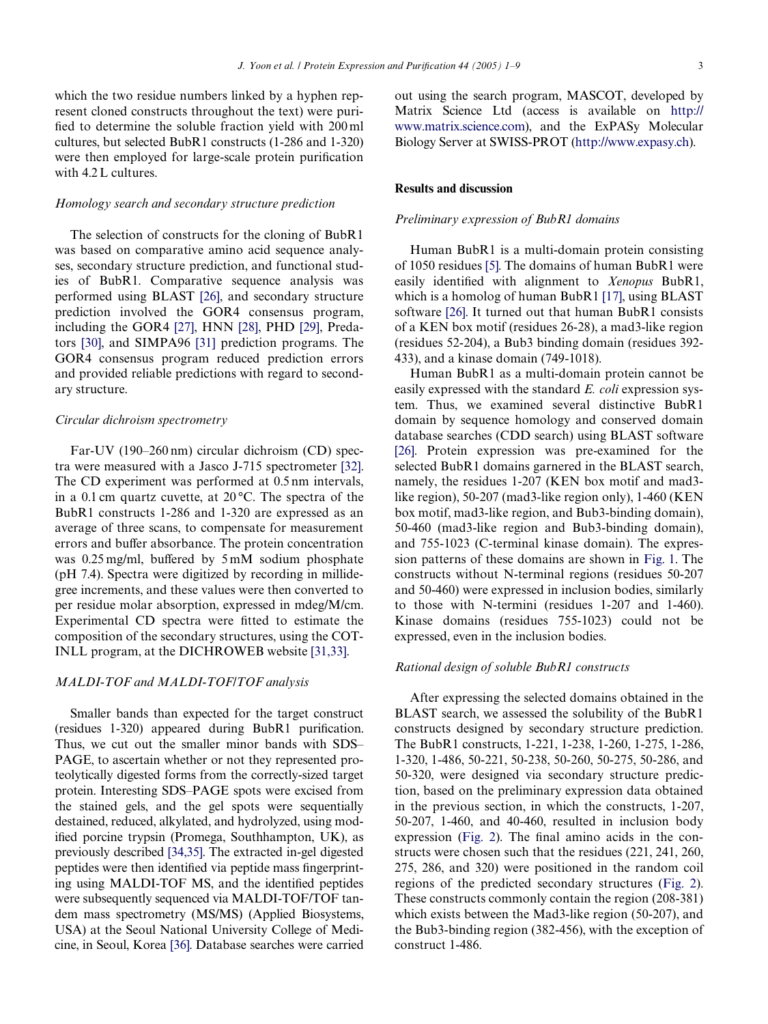which the two residue numbers linked by a hyphen represent cloned constructs throughout the text) were purified to determine the soluble fraction yield with  $200$  ml cultures, but selected BubR1 constructs (1-286 and 1-320) were then employed for large-scale protein purification with 4.2 L cultures.

#### *Homology search and secondary structure prediction*

The selection of constructs for the cloning of BubR1 was based on comparative amino acid sequence analyses, secondary structure prediction, and functional studies of BubR1. Comparative sequence analysis was performed using BLAST [\[26\],](#page-8-15) and secondary structure prediction involved the GOR4 consensus program, including the GOR4 [\[27\],](#page-8-16) HNN [\[28\]](#page-8-17), PHD [\[29\],](#page-8-18) Predators [\[30\]](#page-8-19), and SIMPA96 [\[31\]](#page-8-20) prediction programs. The GOR4 consensus program reduced prediction errors and provided reliable predictions with regard to secondary structure.

## *Circular dichroism spectrometry*

Far-UV (190–260 nm) circular dichroism (CD) spectra were measured with a Jasco J-715 spectrometer [\[32\].](#page-8-21) The CD experiment was performed at 0.5 nm intervals, in a 0.1 cm quartz cuvette, at 20 °C. The spectra of the BubR1 constructs 1-286 and 1-320 are expressed as an average of three scans, to compensate for measurement errors and buffer absorbance. The protein concentration was  $0.25 \text{ mg/ml}$ , buffered by  $5 \text{ mM}$  sodium phosphate (pH 7.4). Spectra were digitized by recording in millidegree increments, and these values were then converted to per residue molar absorption, expressed in mdeg/M/cm. Experimental CD spectra were fitted to estimate the composition of the secondary structures, using the COT-INLL program, at the DICHROWEB website [\[31,33\].](#page-8-20)

## *MALDI-TOF and MALDI-TOF/TOF analysis*

Smaller bands than expected for the target construct  $(residues$  1-320) appeared during BubR1 purification. Thus, we cut out the smaller minor bands with SDS– PAGE, to ascertain whether or not they represented proteolytically digested forms from the correctly-sized target protein. Interesting SDS–PAGE spots were excised from the stained gels, and the gel spots were sequentially destained, reduced, alkylated, and hydrolyzed, using modified porcine trypsin (Promega, Southhampton, UK), as previously described [\[34,35\]](#page-8-22). The extracted in-gel digested peptides were then identified via peptide mass fingerprinting using MALDI-TOF MS, and the identified peptides were subsequently sequenced via MALDI-TOF/TOF tandem mass spectrometry (MS/MS) (Applied Biosystems, USA) at the Seoul National University College of Medicine, in Seoul, Korea [\[36\].](#page-8-23) Database searches were carried

out using the search program, MASCOT, developed by Matrix Science Ltd (access is available on [http://](http://www.matrix.science.com) [www.matrix.science.com](http://www.matrix.science.com)), and the ExPASy Molecular Biology Server at SWISS-PROT [\(http://www.expasy.ch](http://www.expasy.ch)).

# **Results and discussion**

## *Preliminary expression of BubR1 domains*

Human BubR1 is a multi-domain protein consisting of 1050 residues [\[5\].](#page-8-4) The domains of human BubR1 were easily identified with alignment to *Xenopus* BubR1, which is a homolog of human BubR1 [\[17\]](#page-8-10), using BLAST software [\[26\].](#page-8-15) It turned out that human BubR1 consists of a KEN box motif (residues 26-28), a mad3-like region (residues 52-204), a Bub3 binding domain (residues 392- 433), and a kinase domain (749-1018).

Human BubR1 as a multi-domain protein cannot be easily expressed with the standard *E. coli* expression system. Thus, we examined several distinctive BubR1 domain by sequence homology and conserved domain database searches (CDD search) using BLAST software [\[26\]](#page-8-15). Protein expression was pre-examined for the selected BubR1 domains garnered in the BLAST search, namely, the residues 1-207 (KEN box motif and mad3 like region), 50-207 (mad3-like region only), 1-460 (KEN box motif, mad3-like region, and Bub3-binding domain), 50-460 (mad3-like region and Bub3-binding domain), and 755-1023 (C-terminal kinase domain). The expression patterns of these domains are shown in [Fig. 1.](#page-3-0) The constructs without N-terminal regions (residues 50-207 and 50-460) were expressed in inclusion bodies, similarly to those with N-termini (residues 1-207 and 1-460). Kinase domains (residues 755-1023) could not be expressed, even in the inclusion bodies.

# *Rational design of soluble BubR1 constructs*

After expressing the selected domains obtained in the BLAST search, we assessed the solubility of the BubR1 constructs designed by secondary structure prediction. The BubR1 constructs, 1-221, 1-238, 1-260, 1-275, 1-286, 1-320, 1-486, 50-221, 50-238, 50-260, 50-275, 50-286, and 50-320, were designed via secondary structure prediction, based on the preliminary expression data obtained in the previous section, in which the constructs, 1-207, 50-207, 1-460, and 40-460, resulted in inclusion body expression [\(Fig. 2](#page-4-0)). The final amino acids in the constructs were chosen such that the residues (221, 241, 260, 275, 286, and 320) were positioned in the random coil regions of the predicted secondary structures ([Fig. 2\)](#page-4-0). These constructs commonly contain the region (208-381) which exists between the Mad3-like region (50-207), and the Bub3-binding region (382-456), with the exception of construct 1-486.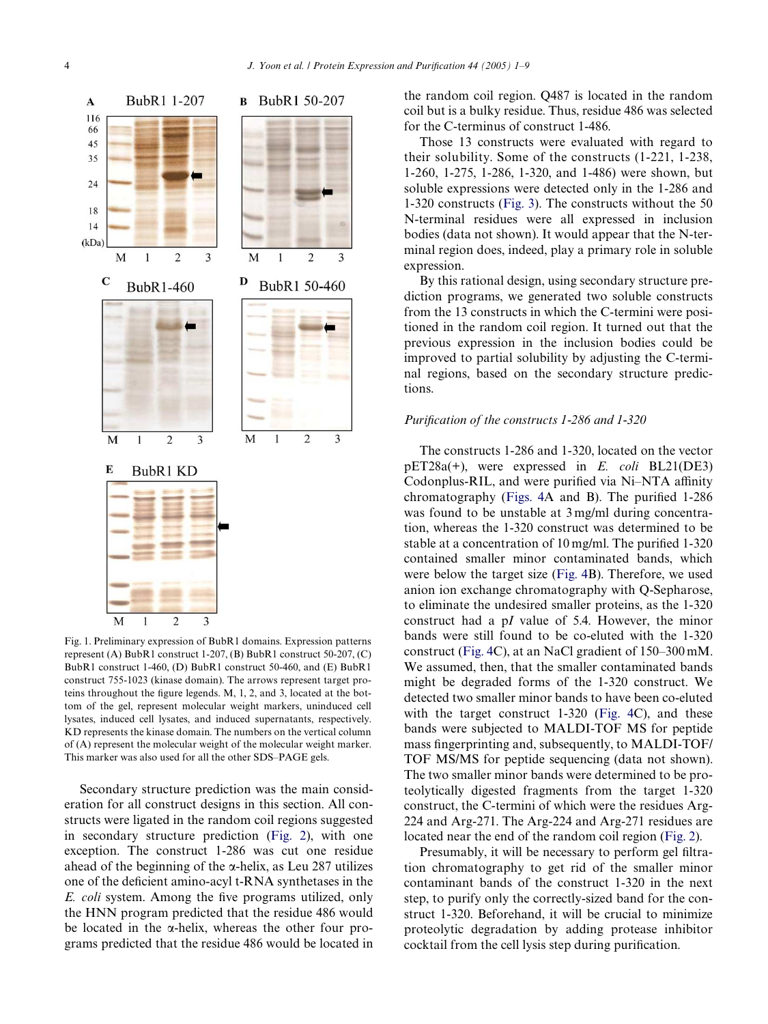

<span id="page-3-0"></span>Fig. 1. Preliminary expression of BubR1 domains. Expression patterns represent (A) BubR1 construct 1-207, (B) BubR1 construct 50-207, (C) BubR1 construct 1-460, (D) BubR1 construct 50-460, and (E) BubR1 construct 755-1023 (kinase domain). The arrows represent target proteins throughout the figure legends, M, 1, 2, and 3, located at the bottom of the gel, represent molecular weight markers, uninduced cell lysates, induced cell lysates, and induced supernatants, respectively. KD represents the kinase domain. The numbers on the vertical column of (A) represent the molecular weight of the molecular weight marker. This marker was also used for all the other SDS–PAGE gels.

Secondary structure prediction was the main consideration for all construct designs in this section. All constructs were ligated in the random coil regions suggested in secondary structure prediction [\(Fig. 2](#page-4-0)), with one exception. The construct 1-286 was cut one residue ahead of the beginning of the  $\alpha$ -helix, as Leu 287 utilizes one of the deficient amino-acyl  $t-RNA$  synthetases in the *E. coli* system. Among the five programs utilized, only the HNN program predicted that the residue 486 would be located in the  $\alpha$ -helix, whereas the other four programs predicted that the residue 486 would be located in the random coil region. Q487 is located in the random coil but is a bulky residue. Thus, residue 486 was selected for the C-terminus of construct 1-486.

Those 13 constructs were evaluated with regard to their solubility. Some of the constructs (1-221, 1-238, 1-260, 1-275, 1-286, 1-320, and 1-486) were shown, but soluble expressions were detected only in the 1-286 and 1-320 constructs ([Fig. 3\)](#page-5-0). The constructs without the 50 N-terminal residues were all expressed in inclusion bodies (data not shown). It would appear that the N-terminal region does, indeed, play a primary role in soluble expression.

By this rational design, using secondary structure prediction programs, we generated two soluble constructs from the 13 constructs in which the C-termini were positioned in the random coil region. It turned out that the previous expression in the inclusion bodies could be improved to partial solubility by adjusting the C-terminal regions, based on the secondary structure predictions.

# *Purification of the constructs 1-286 and 1-320*

The constructs 1-286 and 1-320, located on the vector pET28a(+), were expressed in *E. coli* BL21(DE3) Codonplus-RIL, and were purified via Ni–NTA affinity chromatography (Figs.  $4A$  and B). The purified 1-286 was found to be unstable at 3 mg/ml during concentration, whereas the 1-320 construct was determined to be stable at a concentration of  $10 \text{ mg/ml}$ . The purified 1-320 contained smaller minor contaminated bands, which were below the target size [\(Fig. 4B](#page-5-1)). Therefore, we used anion ion exchange chromatography with Q-Sepharose, to eliminate the undesired smaller proteins, as the 1-320 construct had a p*I* value of 5.4. However, the minor bands were still found to be co-eluted with the 1-320 construct ([Fig. 4C](#page-5-1)), at an NaCl gradient of 150–300 mM. We assumed, then, that the smaller contaminated bands might be degraded forms of the 1-320 construct. We detected two smaller minor bands to have been co-eluted with the target construct 1-320 [\(Fig. 4](#page-5-1)C), and these bands were subjected to MALDI-TOF MS for peptide mass fingerprinting and, subsequently, to MALDI-TOF/ TOF MS/MS for peptide sequencing (data not shown). The two smaller minor bands were determined to be proteolytically digested fragments from the target 1-320 construct, the C-termini of which were the residues Arg-224 and Arg-271. The Arg-224 and Arg-271 residues are located near the end of the random coil region [\(Fig. 2](#page-4-0)).

Presumably, it will be necessary to perform gel filtration chromatography to get rid of the smaller minor contaminant bands of the construct 1-320 in the next step, to purify only the correctly-sized band for the construct 1-320. Beforehand, it will be crucial to minimize proteolytic degradation by adding protease inhibitor cocktail from the cell lysis step during purification.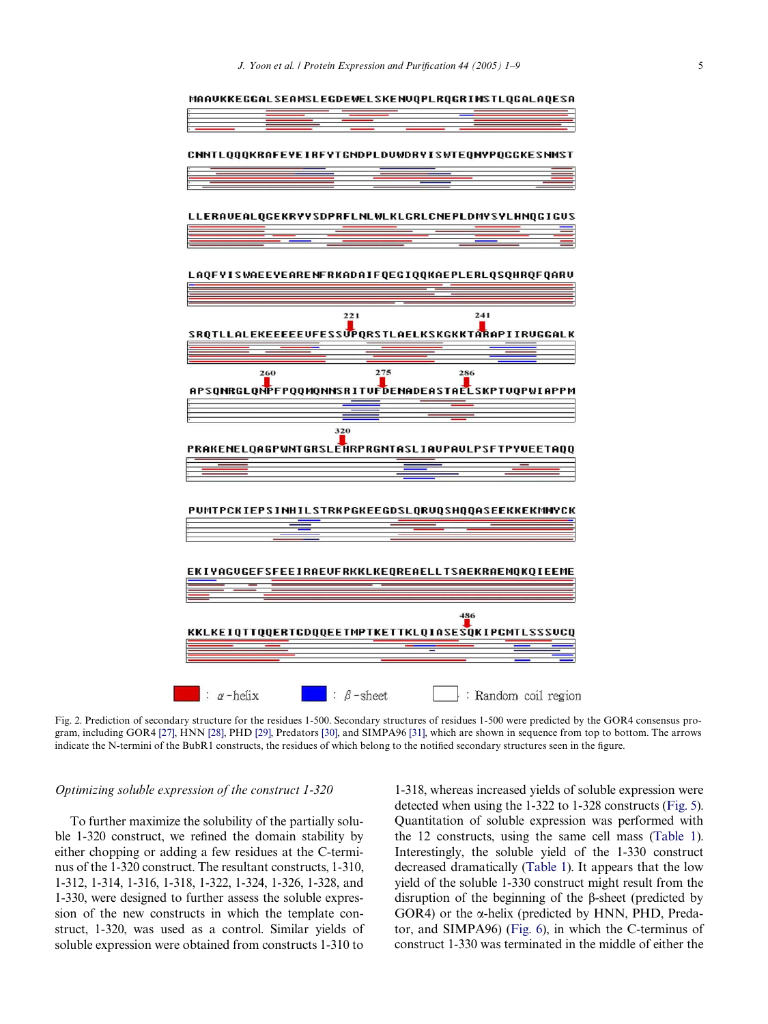

<span id="page-4-0"></span>Fig. 2. Prediction of secondary structure for the residues 1-500. Secondary structures of residues 1-500 were predicted by the GOR4 consensus program, including GOR4 [\[27\]](#page-8-16), HNN [\[28\],](#page-8-17) PHD [\[29\]](#page-8-18), Predators [\[30\],](#page-8-19) and SIMPA96 [\[31\],](#page-8-20) which are shown in sequence from top to bottom. The arrows indicate the N-termini of the BubR1 constructs, the residues of which belong to the notified secondary structures seen in the figure.

### *Optimizing soluble expression of the construct 1-320*

To further maximize the solubility of the partially soluble  $1-320$  construct, we refined the domain stability by either chopping or adding a few residues at the C-terminus of the 1-320 construct. The resultant constructs, 1-310, 1-312, 1-314, 1-316, 1-318, 1-322, 1-324, 1-326, 1-328, and 1-330, were designed to further assess the soluble expression of the new constructs in which the template construct, 1-320, was used as a control. Similar yields of soluble expression were obtained from constructs 1-310 to

1-318, whereas increased yields of soluble expression were detected when using the 1-322 to 1-328 constructs [\(Fig. 5](#page-6-0)). Quantitation of soluble expression was performed with the 12 constructs, using the same cell mass ([Table 1](#page-6-1)). Interestingly, the soluble yield of the 1-330 construct decreased dramatically ([Table 1\)](#page-6-1). It appears that the low yield of the soluble 1-330 construct might result from the disruption of the beginning of the  $\beta$ -sheet (predicted by GOR4) or the  $\alpha$ -helix (predicted by HNN, PHD, Predator, and SIMPA96) ([Fig. 6](#page-6-2)), in which the C-terminus of construct 1-330 was terminated in the middle of either the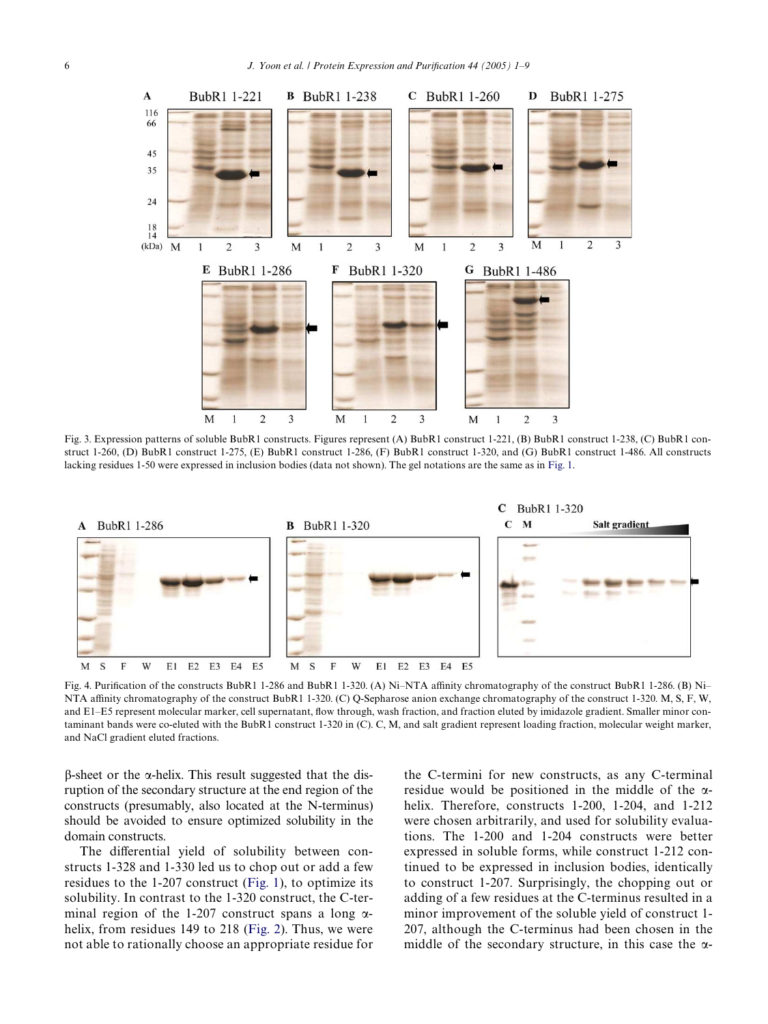

<span id="page-5-0"></span>Fig. 3. Expression patterns of soluble BubR1 constructs. Figures represent (A) BubR1 construct 1-221, (B) BubR1 construct 1-238, (C) BubR1 construct 1-260, (D) BubR1 construct 1-275, (E) BubR1 construct 1-286, (F) BubR1 construct 1-320, and (G) BubR1 construct 1-486. All constructs lacking residues 1-50 were expressed in inclusion bodies (data not shown). The gel notations are the same as in [Fig. 1.](#page-3-0)



<span id="page-5-1"></span>Fig. 4. Purification of the constructs BubR1 1-286 and BubR1 1-320. (A) Ni–NTA affinity chromatography of the construct BubR1 1-286. (B) Ni– NTA affinity chromatography of the construct BubR1 1-320. (C) Q-Sepharose anion exchange chromatography of the construct 1-320. M, S, F, W, and E1-E5 represent molecular marker, cell supernatant, flow through, wash fraction, and fraction eluted by imidazole gradient. Smaller minor contaminant bands were co-eluted with the BubR1 construct 1-320 in (C). C, M, and salt gradient represent loading fraction, molecular weight marker, and NaCl gradient eluted fractions.

 $\beta$ -sheet or the  $\alpha$ -helix. This result suggested that the disruption of the secondary structure at the end region of the constructs (presumably, also located at the N-terminus) should be avoided to ensure optimized solubility in the domain constructs.

The differential yield of solubility between constructs 1-328 and 1-330 led us to chop out or add a few residues to the 1-207 construct ([Fig. 1\)](#page-3-0), to optimize its solubility. In contrast to the 1-320 construct, the C-terminal region of the 1-207 construct spans a long  $\alpha$ -helix, from residues 149 to 218 [\(Fig. 2\)](#page-4-0). Thus, we were not able to rationally choose an appropriate residue for the C-termini for new constructs, as any C-terminal residue would be positioned in the middle of the  $\alpha$ helix. Therefore, constructs 1-200, 1-204, and 1-212 were chosen arbitrarily, and used for solubility evaluations. The 1-200 and 1-204 constructs were better expressed in soluble forms, while construct 1-212 continued to be expressed in inclusion bodies, identically to construct 1-207. Surprisingly, the chopping out or adding of a few residues at the C-terminus resulted in a minor improvement of the soluble yield of construct 1- 207, although the C-terminus had been chosen in the middle of the secondary structure, in this case the  $\alpha$ -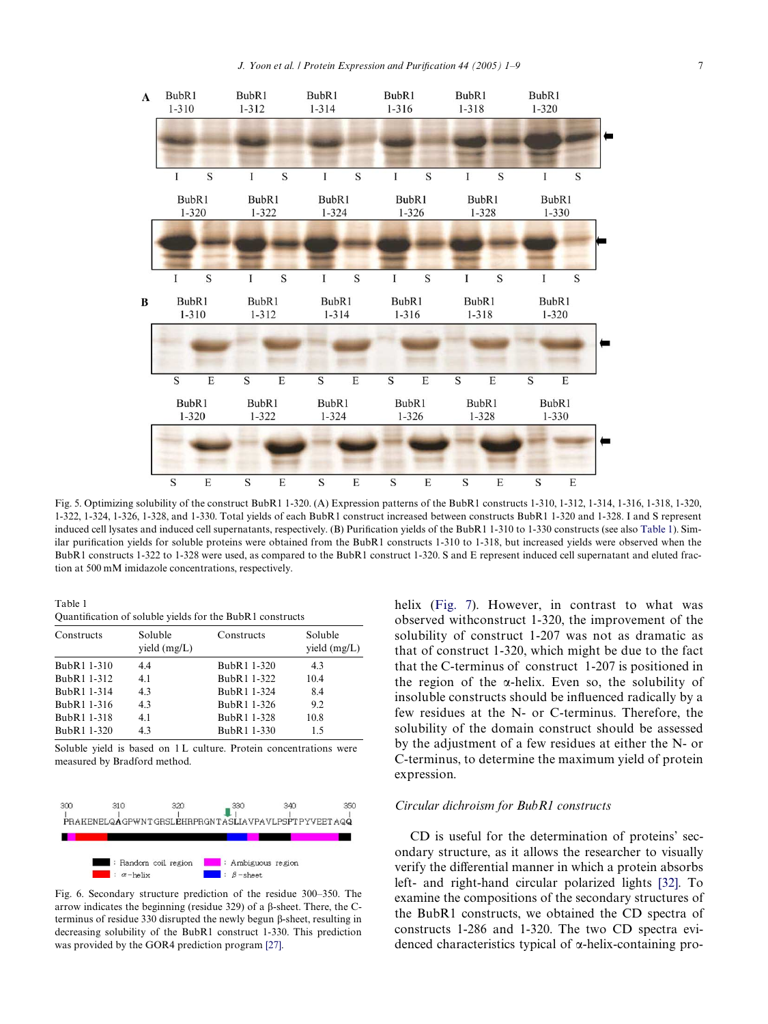

<span id="page-6-0"></span>Fig. 5. Optimizing solubility of the construct BubR1 1-320. (A) Expression patterns of the BubR1 constructs 1-310, 1-312, 1-314, 1-316, 1-318, 1-320, 1-322, 1-324, 1-326, 1-328, and 1-330. Total yields of each BubR1 construct increased between constructs BubR1 1-320 and 1-328. I and S represent induced cell lysates and induced cell supernatants, respectively. (B) Purification yields of the BubR1 1-310 to 1-330 constructs (see also [Table 1\)](#page-6-1). Similar purification yields for soluble proteins were obtained from the BubR1 constructs 1-310 to 1-318, but increased yields were observed when the BubR1 constructs 1-322 to 1-328 were used, as compared to the BubR1 construct 1-320. S and E represent induced cell supernatant and eluted fraction at 500 mM imidazole concentrations, respectively.

<span id="page-6-1"></span>Table 1

Quantification of soluble yields for the BubR1 constructs

| Constructs  | Soluble<br>yield $(mg/L)$ | Constructs  | Soluble<br>yield $(mg/L)$ |
|-------------|---------------------------|-------------|---------------------------|
| BubR1 1-310 | 4.4                       | BubR1 1-320 | 4.3                       |
| BubR1 1-312 | 4.1                       | BubR1 1-322 | 10.4                      |
| BubR1 1-314 | 4.3                       | BubR1 1-324 | 8.4                       |
| BubR1 1-316 | 4.3                       | BubR1 1-326 | 9.2                       |
| BubR1 1-318 | 4.1                       | BubR1 1-328 | 10.8                      |
| BubR1 1-320 | 4.3                       | BubR1 1-330 | 1.5                       |

Soluble yield is based on 1L culture. Protein concentrations were measured by Bradford method.



<span id="page-6-2"></span>Fig. 6. Secondary structure prediction of the residue 300–350. The arrow indicates the beginning (residue 329) of a  $\beta$ -sheet. There, the Cterminus of residue 330 disrupted the newly begun  $\beta$ -sheet, resulting in decreasing solubility of the BubR1 construct 1-330. This prediction was provided by the GOR4 prediction program [\[27\]](#page-8-16).

helix [\(Fig. 7\)](#page-7-0). However, in contrast to what was observed withconstruct 1-320, the improvement of the solubility of construct 1-207 was not as dramatic as that of construct 1-320, which might be due to the fact that the C-terminus of construct 1-207 is positioned in the region of the  $\alpha$ -helix. Even so, the solubility of insoluble constructs should be influenced radically by a few residues at the N- or C-terminus. Therefore, the solubility of the domain construct should be assessed by the adjustment of a few residues at either the N- or C-terminus, to determine the maximum yield of protein expression.

### *Circular dichroism for BubR1 constructs*

CD is useful for the determination of proteins' secondary structure, as it allows the researcher to visually verify the differential manner in which a protein absorbs left- and right-hand circular polarized lights [\[32\].](#page-8-21) To examine the compositions of the secondary structures of the BubR1 constructs, we obtained the CD spectra of constructs 1-286 and 1-320. The two CD spectra evidenced characteristics typical of  $\alpha$ -helix-containing pro-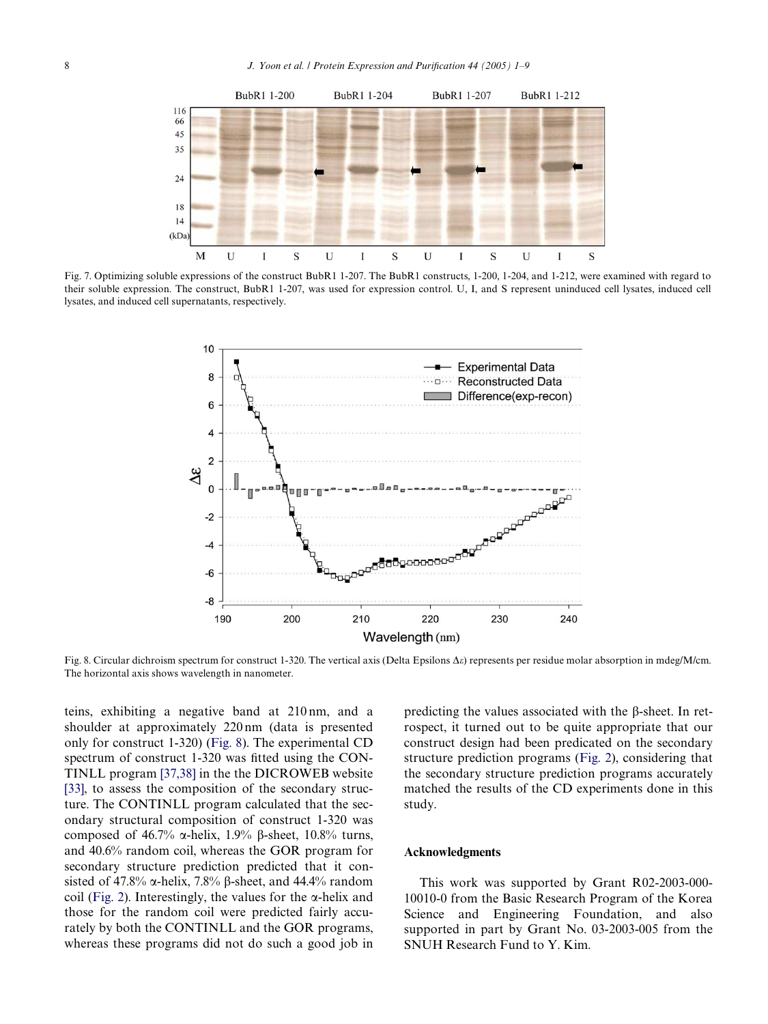

<span id="page-7-0"></span>Fig. 7. Optimizing soluble expressions of the construct BubR1 1-207. The BubR1 constructs, 1-200, 1-204, and 1-212, were examined with regard to their soluble expression. The construct, BubR1 1-207, was used for expression control. U, I, and S represent uninduced cell lysates, induced cell lysates, and induced cell supernatants, respectively.



<span id="page-7-1"></span>Fig. 8. Circular dichroism spectrum for construct 1-320. The vertical axis (Delta Epsilons  $\Delta \varepsilon$ ) represents per residue molar absorption in mdeg/M/cm. The horizontal axis shows wavelength in nanometer.

teins, exhibiting a negative band at 210 nm, and a shoulder at approximately 220 nm (data is presented only for construct 1-320) [\(Fig. 8\)](#page-7-1). The experimental CD spectrum of construct  $1-320$  was fitted using the CON-TINLL program [\[37,38\]](#page-8-24) in the the DICROWEB website [\[33\]](#page-8-25), to assess the composition of the secondary structure. The CONTINLL program calculated that the secondary structural composition of construct 1-320 was composed of 46.7%  $\alpha$ -helix, 1.9%  $\beta$ -sheet, 10.8% turns, and 40.6% random coil, whereas the GOR program for secondary structure prediction predicted that it consisted of 47.8%  $\alpha$ -helix, 7.8%  $\beta$ -sheet, and 44.4% random coil ([Fig. 2](#page-4-0)). Interestingly, the values for the  $\alpha$ -helix and those for the random coil were predicted fairly accurately by both the CONTINLL and the GOR programs, whereas these programs did not do such a good job in predicting the values associated with the  $\beta$ -sheet. In retrospect, it turned out to be quite appropriate that our construct design had been predicated on the secondary structure prediction programs [\(Fig. 2](#page-4-0)), considering that the secondary structure prediction programs accurately matched the results of the CD experiments done in this study.

#### **Acknowledgments**

This work was supported by Grant R02-2003-000- 10010-0 from the Basic Research Program of the Korea Science and Engineering Foundation, and also supported in part by Grant No. 03-2003-005 from the SNUH Research Fund to Y. Kim.